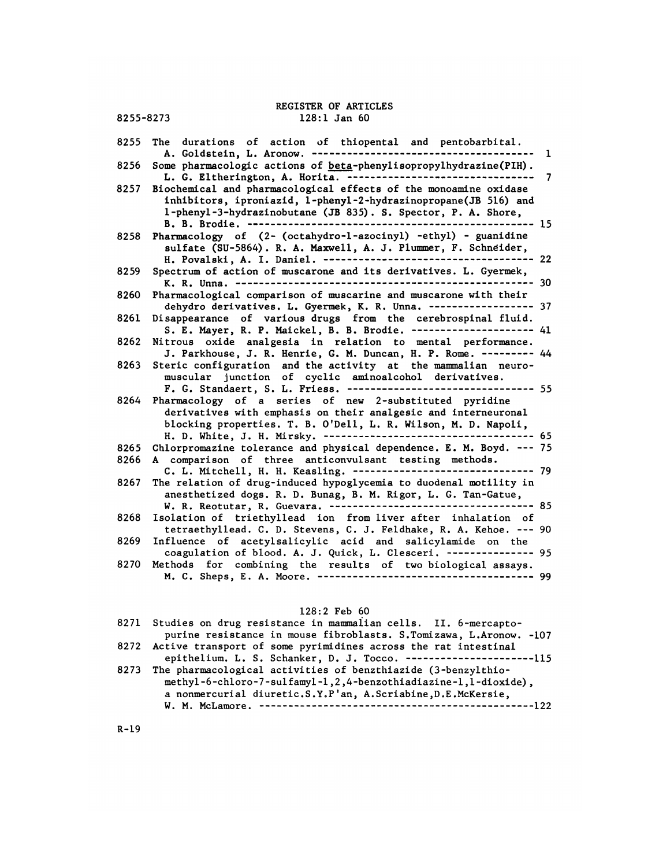| 8255-8273    | REGISTER OF ARTICLES<br>$128:1$ Jan $60$                                                                                                                                                                                                    |   |
|--------------|---------------------------------------------------------------------------------------------------------------------------------------------------------------------------------------------------------------------------------------------|---|
|              |                                                                                                                                                                                                                                             |   |
| 8255         | The durations of action of thiopental and pentobarbital.<br>A. Goldstein, L. Aronow. --------------                                                                                                                                         | 1 |
| 8256         | Some pharmacologic actions of beta-phenylisopropylhydrazine(PIH).<br>L. G. Eltherington, A. Horita. ---------------------------------                                                                                                       | 7 |
| 8257         | Biochemical and pharmacological effects of the monoamine oxidase<br>inhibitors, iproniazid, 1-phenyl-2-hydrazinopropane(JB 516) and<br>1-phenyl-3-hydrazinobutane (JB 835). S. Spector, P. A. Shore,<br>B. B. Brodie. ----------<br>$-- 15$ |   |
| 8258         | Pharmacology of (2- (octahydro-1-azocinyl) -ethyl) - guanidine<br>sulfate (SU-5864). R. A. Maxwell, A. J. Plummer, F. Schneider,                                                                                                            |   |
| 8259         | Spectrum of action of muscarone and its derivatives. L. Gyermek,                                                                                                                                                                            |   |
| 8260         | Pharmacological comparison of muscarine and muscarone with their<br>dehydro derivatives. L. Gyermek, K. R. Unna. ------------------ 37                                                                                                      |   |
| 8261         | Disappearance of various drugs from the cerebrospinal fluid.<br>S. E. Mayer, R. P. Maickel, B. B. Brodie. -------------------- 41                                                                                                           |   |
| 8262         | Nitrous oxide analgesia in relation to mental performance.<br>J. Parkhouse, J. R. Henrie, G. M. Duncan, H. P. Rome. --------- 44                                                                                                            |   |
| 8263         | Steric configuration and the activity at the mammalian neuro-<br>muscular junction of cyclic aminoalcohol derivatives.<br>$--- 55$<br>F. G. Standaert, S. L. Friess. --------------------------                                             |   |
| 8264         | Pharmacology of a series of new 2-substituted pyridine<br>derivatives with emphasis on their analgesic and interneuronal<br>blocking properties. T. B. O'Dell, L. R. Wilson, M. D. Napoli,                                                  |   |
| 8265<br>8266 | Chlorpromazine tolerance and physical dependence. E. M. Boyd. --- 75<br>A comparison of three anticonvulsant testing methods.                                                                                                               |   |
|              | C. L. Mitchell, H. H. Keasling. -------------------------------- 79                                                                                                                                                                         |   |
| 8267         | The relation of drug-induced hypoglycemia to duodenal motility in<br>anesthetized dogs. R. D. Bunag, B. M. Rigor, L. G. Tan-Gatue,                                                                                                          |   |
| 8268         | Isolation of triethyllead ion from liver after inhalation of<br>tetraethyllead. C. D. Stevens, C. J. Feldhake, R. A. Kehoe. --- 90                                                                                                          |   |
| 8269         | Influence of acetylsalicylic acid and salicylamide on the<br>coagulation of blood. A. J. Quick, L. Clesceri. -------------- 95                                                                                                              |   |
| 8270         | Methods for combining the results of two biological assays.                                                                                                                                                                                 |   |
|              | $128:2$ Feb $60$                                                                                                                                                                                                                            |   |
|              | 8271 Studies on drug resistance in mammalian cells. II. 6-mercapto-                                                                                                                                                                         |   |

| $128:2$ Feb $60$                                                                                                                                                                                      |
|-------------------------------------------------------------------------------------------------------------------------------------------------------------------------------------------------------|
| 8271 Studies on drug resistance in mammalian cells. II. 6-mercapto-<br>purine resistance in mouse fibroblasts. S.Tomizawa, L.Aronow. -107                                                             |
| 8272 Active transport of some pyrimidines across the rat intestinal<br>epithelium. L. S. Schanker, D. J. Tocco. -----------------------115                                                            |
| 8273 The pharmacological activities of benzthiazide (3-benzylthio-<br>methyl-6-chloro-7-sulfamyl-1,2,4-benzothiadiazine-1,1-dioxide),<br>a nonmercurial diuretic.S.Y.P'an, A.Scriabine, D.E.McKersie, |

R-l9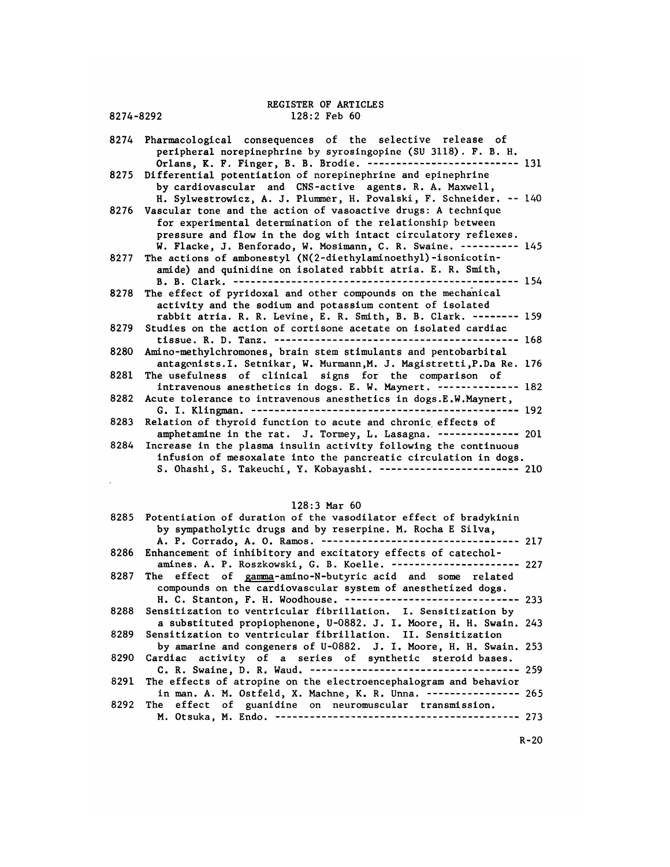# REGISTER OF ARTICLES<br>128:2 Feb 60 REGISTER OF ARTICLES<br>8274-8292 128:2 Feb 60

| 8274-8292 | REGISTER OF ARTICLES<br>$128:2$ Feb $60$                                                                                                                                                                                                                           |         |
|-----------|--------------------------------------------------------------------------------------------------------------------------------------------------------------------------------------------------------------------------------------------------------------------|---------|
| 8274      | Pharmacological consequences of the selective release of<br>peripheral norepinephrine by syrosingopine (SU 3118). F. B. H.                                                                                                                                         |         |
| 8275      | Orlans, K. F. Finger, B. B. Brodie. -------------------------- 131<br>Differential potentiation of norepinephrine and epinephrine<br>by cardiovascular and CNS-active agents. R. A. Maxwell,<br>H. Sylwestrowicz, A. J. Plummer, H. Povalski, F. Schneider. -- 140 |         |
| 8276      | Vascular tone and the action of vasoactive drugs: A technique<br>for experimental determination of the relationship between<br>pressure and flow in the dog with intact circulatory reflexes.                                                                      |         |
| 8277      | W. Flacke, J. Benforado, W. Mosimann, C. R. Swaine. ---------- 145<br>The actions of ambonestyl (N(2-diethylaminoethyl)-isonicotin-<br>amide) and quinidine on isolated rabbit atria. E. R. Smith,                                                                 |         |
| 8278      | B. B. Clark. -------------<br>The effect of pyridoxal and other compounds on the mechanical<br>activity and the sodium and potassium content of isolated                                                                                                           | --- 154 |
| 8279      | rabbit atria. R. R. Levine, E. R. Smith, B. B. Clark. -------- 159<br>Studies on the action of cortisone acetate on isolated cardiac<br>$--- 168$                                                                                                                  |         |
| 8280      | Amino-methylchromones, brain stem stimulants and pentobarbital<br>antagonists. I. Setnikar, W. Murmann, M. J. Magistretti, P.Da Re. 176                                                                                                                            |         |
| 8281      | The usefulness of clinical signs for the comparison of<br>intravenous anesthetics in dogs. E. W. Maynert. ------------- 182                                                                                                                                        |         |
| 8282      | Acute tolerance to intravenous anesthetics in dogs.E.W.Maynert,<br>G. I. Klingman. -------------------------<br>$--- 192$<br>-------------                                                                                                                         |         |
| 8283      | Relation of thyroid function to acute and chronic effects of<br>amphetamine in the rat. J. Tormey, L. Lasagna. -------------- 201                                                                                                                                  |         |
| 8284      | Increase in the plasma insulin activity following the continuous<br>infusion of mesoxalate into the pancreatic circulation in dogs.<br>S. Ohashi, S. Takeuchi, Y. Kobayashi. ------------------------ 210                                                          |         |
|           |                                                                                                                                                                                                                                                                    |         |

## 128:3 Mar 60

| D. Chabhi, D. Iancuchi, I. Robayabhi.                                                                                               | ᅩᅩ |
|-------------------------------------------------------------------------------------------------------------------------------------|----|
|                                                                                                                                     |    |
| $128:3$ Mar $60$                                                                                                                    |    |
| 8285 Potentiation of duration of the vasodilator effect of bradykinin<br>by sympatholytic drugs and by reserpine. M. Rocha E Silva, |    |
| A. P. Corrado, A. O. Ramos. ---------------------------------- 217                                                                  |    |
| 8286 Enhancement of inhibitory and excitatory effects of catechol-                                                                  |    |
| amines. A. P. Roszkowski, G. B. Koelle. --------------------- 227                                                                   |    |
| 8287 The effect of gamma-amino-N-butyric acid and some related<br>compounds on the cardiovascular system of anesthetized dogs.      |    |
| H. C. Stanton, F. H. Woodhouse. ----------------------------- 233                                                                   |    |
| 8288 Sensitization to ventricular fibrillation. I. Sensitization by                                                                 |    |
| a substituted propiophenone, U-0882. J. I. Moore, H. H. Swain. 243                                                                  |    |
| 8289 Sensitization to ventricular fibrillation. II. Sensitization                                                                   |    |
| by amarine and congeners of U-0882. J. I. Moore, H. H. Swain. 253                                                                   |    |
| 8290 Cardiac activity of a series of synthetic steroid bases.                                                                       |    |
|                                                                                                                                     |    |
| 8291 The effects of atropine on the electroencephalogram and behavior                                                               |    |
| in man. A. M. Ostfeld, X. Machne, K. R. Unna. --------------- 265                                                                   |    |
| 8292 The effect of guanidine on neuromuscular transmission.                                                                         |    |
|                                                                                                                                     |    |

R-20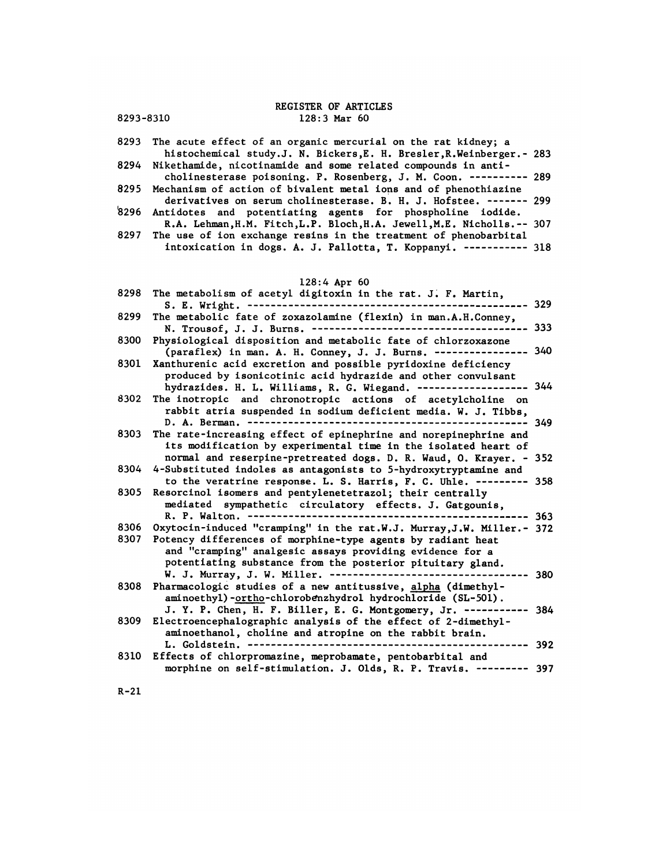|           | <b>REGISTER OF ARTICLES</b>                                                                                                                  |         |
|-----------|----------------------------------------------------------------------------------------------------------------------------------------------|---------|
| 8293-8310 | $128:3$ Mar $60$                                                                                                                             |         |
|           | 8293 The acute effect of an organic mercurial on the rat kidney; a                                                                           |         |
|           | histochemical study.J. N. Bickers, E. H. Bresler, R. Weinberger. - 283<br>8294 Nikethamide, nicotinamide and some related compounds in anti- |         |
|           | cholinesterase poisoning. P. Rosenberg, J. M. Coon. ---------- 289                                                                           |         |
| 8295      | Mechanism of action of bivalent metal ions and of phenothiazine                                                                              |         |
|           | derivatives on serum cholinesterase. B. H. J. Hofstee. ------- 299<br>8296 Antidotes and potentiating agents for phospholine iodide.         |         |
|           | R.A. Lehman, H.M. Fitch, L.P. Bloch, H.A. Jewell, M.E. Nicholls.-- 307                                                                       |         |
|           | 8297 The use of ion exchange resins in the treatment of phenobarbital                                                                        |         |
|           | intoxication in dogs. A. J. Pallotta, T. Koppanyi. ----------- 318                                                                           |         |
|           |                                                                                                                                              |         |
|           | $128:4$ Apr $60$                                                                                                                             |         |
|           | 8298 The metabolism of acetyl digitoxin in the rat. J. F. Martin,                                                                            | --- 329 |
|           | 8299 The metabolic fate of zoxazolamine (flexin) in man.A.H.Conney,                                                                          |         |
|           | N. Trousof, J. J. Burns. ----------------------------------                                                                                  | -333    |
| 8300      | Physiological disposition and metabolic fate of chlorzoxazone<br>(paraflex) in man. A. H. Conney, J. J. Burns. --------------- 340           |         |
| 8301      | Xanthurenic acid excretion and possible pyridoxine deficiency<br>produced by isonicotinic acid hydrazide and other convulsant                |         |
|           |                                                                                                                                              |         |

|      | N. IFOUSOL, J. J. BUFNS, -------------------------                                                                                      |  |
|------|-----------------------------------------------------------------------------------------------------------------------------------------|--|
|      | 8300 Physiological disposition and metabolic fate of chlorzoxazone<br>(paraflex) in man. A. H. Conney, J. J. Burns. --------------- 340 |  |
|      | 8301 Xanthurenic acid excretion and possible pyridoxine deficiency<br>produced by isonicotinic acid hydrazide and other convulsant      |  |
|      | hydrazides. H. L. Williams, R. G. Wiegand. ------------------ 344                                                                       |  |
|      | 8302 The inotropic and chronotropic actions of acetylcholine on<br>rabbit atria suspended in sodium deficient media. W. J. Tibbs,       |  |
|      |                                                                                                                                         |  |
| 8303 | The rate-increasing effect of epinephrine and norepinephrine and<br>its modification by experimental time in the isolated heart of      |  |
|      | normal and reserpine-pretreated dogs. D. R. Waud, O. Krayer. - 352                                                                      |  |

- its modification by experimental time in the isolated heart of normal and reserpine-pretreated dogs. D. R. Waud, 0. Krayer. <sup>352</sup> 8303 The rate-increasing effect of epinephrine and norepinephrine and<br>its modification by experimental time in the isolated heart of<br>normal and reserpine-pretreated dogs. D. R. Waud, O. Krayer. - 352<br>8304 4-Substituted ind e rate-Increasing effect of epinephrine and norephrephrine and<br>its modification by experimental time in the isolated heart of<br>normal and reserpine-pretreated dogs. D. R. Waud, O. Krayer. - 352<br>Substituted indoles as antago
- 8304 4-Substituted indoles as antagonists to 5-hydroxytryptamine and<br>to the veratrine response. L. S. Harris, F. C. Uhle. --------- 358<br>8305 Resorcinol isomers and pentylenetetrazol; their centrally<br>mediated sympathetic ci mormal and reserpine-pretreated dogs. D. K. waud, O. Krayer.<br>Substituted indoles as antagonists to 5-hydroxytryptamine and<br>to the veratrine response. L. S. Harris, F. C. Uhle. --------<br>sorcinol isomers and pentylenetetrazo Substituted indoits as antagonists to 3-nydroxytryptamine and<br>to the veratrine response. L. S. Harris, F. C. Uhle. --------- 358<br>sorcinol isomers and pentylenetetrazol; their centrally<br>mediated sympathetic circulatory effe
- Examples and perturbated ratios, F. C. Unie. --------- 358<br>8305 Resorcinol isomers and pentylenetetrazol; their centrally<br>mediated sympathetic circulatory effects. J. Gatgounis,<br>R. P. Walton. ------------------------------8307 Potency differences of morphine-type agents by radiant heat and "cramping" analgesic assays providing evidence for a potentiating substance from the posterior pituitary gland.
- ytocin-induced "cramping" in the rat.w.J. Murray, J.W. Miller.- 3/2<br>tency differences of morphine-type agents by radiant heat<br>and "cramping" analgesic assays providing evidence for a<br>potentiating substance from the posteri 8308 Potency differences of morphine-type agents by radiant he<br>and "cramping" analgesic assays providing evidence for<br>potentiating substance from the posterior pituitary gla<br>W. J. Murray, J. W. Miller. -------------------aminoethyl) -ortho-chlorobnzhydrol hydrochloride (SL-50l). potentiating substance from the posterior pituitary gland.<br>W. J. Murray, J. W. Miller. ----------------------------------- 380<br>8308 Pharmacologic studies of a new antitussive, <u>alpha</u> (dimethyl-<br>aminoethyl)-<u>ortho</u>-chlorob
- 8309 Electroencephalographic analysis of the effect of 2-dimethylaminoethanol, choline and atropine on the rabbit brain. aminoethyl) -<u>Ortho</u>-chiorobenzhydrol hydrochioride (SL-501).<br>J. Y. P. Chen, H. F. Biller, E. G. Montgomery, Jr. ----------- 384<br>ectroencephalographic analysis of the effect of 2-dimethyl-<br>aminoethanol, choline and atropin 8310 Effects of chlorpromazine, meprobamate, pentobarbital and morphine on self-stimulation. J. Olds, R. P. Travis. <sup>397</sup>
- 

R-2l